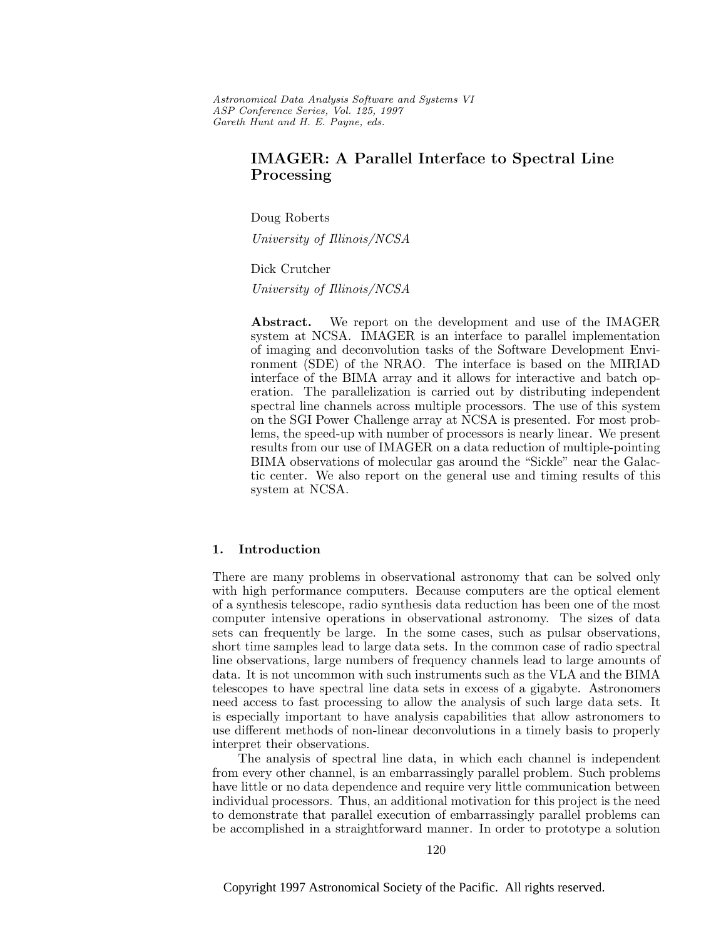Astronomical Data Analysis Software and Systems VI ASP Conference Series, Vol. 125, 1997 Gareth Hunt and H. E. Payne, e ds.

# **IMAGER: A Parallel Interface to Spectral Line Processing**

Doug Roberts

University of Illinois/NCSA

#### Dick Crutcher

University of Illinois/NCSA

**Abstract.** We report on the development and use of the IMAGER system at NCSA. IMAGER is an interface to parallel implementation of imaging and deconvolution tasks of the Software Development Environment (SDE) of the NRAO. The interface is based on the MIRIAD interface of the BIMA array and it allows for interactive and batch operation. The parallelization is carried out by distributing independent spectral line channels across multiple processors. The use of this system on the SGI Power Challenge array at NCSA is presented. For most problems, the speed-up with number of processors is nearly linear. We present results from our use of IMAGER on a data reduction of multiple-pointing BIMA observations of molecular gas around the "Sickle" near the Galactic center. We also report on the general use and timing results of this system at NCSA.

### **1. Introduction**

There are many problems in observational astronomy that can be solved only with high performance computers. Because computers are the optical element of a synthesis telescope, radio synthesis data reduction has been one of the most computer intensive operations in observational astronomy. The sizes of data sets can frequently be large. In the some cases, such as pulsar observations, short time samples lead to large data sets. In the common case of radio spectral line observations, large numbers of frequency channels lead to large amounts of data. It is not uncommon with such instruments such as the VLA and the BIMA telescopes to have spectral line data sets in excess of a gigabyte. Astronomers need access to fast processing to allow the analysis of such large data sets. It is especially important to have analysis capabilities that allow astronomers to use different methods of non-linear deconvolutions in a timely basis to properly interpret their observations.

The analysis of spectral line data, in which each channel is independent from every other channel, is an embarrassingly parallel problem. Such problems have little or no data dependence and require very little communication between individual processors. Thus, an additional motivation for this project is the need to demonstrate that parallel execution of embarrassingly parallel problems can be accomplished in a straightforward manner. In order to prototype a solution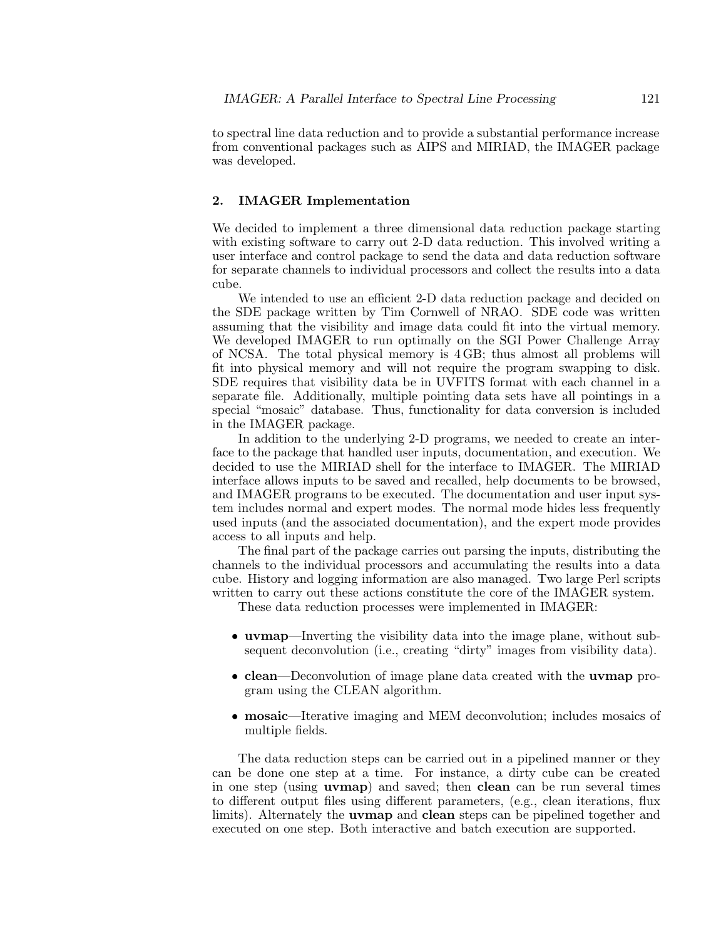to spectral line data reduction and to provide a substantial performance increase from conventional packages such as AIPS and MIRIAD, the IMAGER package was developed.

# **2. IMAGER Implementation**

We decided to implement a three dimensional data reduction package starting with existing software to carry out 2-D data reduction. This involved writing a user interface and control package to send the data and data reduction software for separate channels to individual processors and collect the results into a data cube.

We intended to use an efficient 2-D data reduction package and decided on the SDE package written by Tim Cornwell of NRAO. SDE code was written assuming that the visibility and image data could fit into the virtual memory. We developed IMAGER to run optimally on the SGI Power Challenge Array of NCSA. The total physical memory is 4 GB; thus almost all problems will fit into physical memory and will not require the program swapping to disk. SDE requires that visibility data be in UVFITS format with each channel in a separate file. Additionally, multiple pointing data sets have all pointings in a special "mosaic" database. Thus, functionality for data conversion is included in the IMAGER package.

In addition to the underlying 2-D programs, we needed to create an interface to the package that handled user inputs, documentation, and execution. We decided to use the MIRIAD shell for the interface to IMAGER. The MIRIAD interface allows inputs to be saved and recalled, help documents to be browsed, and IMAGER programs to be executed. The documentation and user input system includes normal and expert modes. The normal mode hides less frequently used inputs (and the associated documentation), and the expert mode provides access to all inputs and help.

The final part of the package carries out parsing the inputs, distributing the channels to the individual processors and accumulating the results into a data cube. History and logging information are also managed. Two large Perl scripts written to carry out these actions constitute the core of the IMAGER system.

These data reduction processes were implemented in IMAGER:

- **uvmap**—Inverting the visibility data into the image plane, without subsequent deconvolution (i.e., creating "dirty" images from visibility data).
- **clean**—Deconvolution of image plane data created with the **uvmap** program using the CLEAN algorithm.
- **mosaic**—Iterative imaging and MEM deconvolution; includes mosaics of multiple fields.

The data reduction steps can be carried out in a pipelined manner or they can be done one step at a time. For instance, a dirty cube can be created in one step (using **uvmap**) and saved; then **clean** can be run several times to different output files using different parameters, (e.g., clean iterations, flux limits). Alternately the **uvmap** and **clean** steps can be pipelined together and executed on one step. Both interactive and batch execution are supported.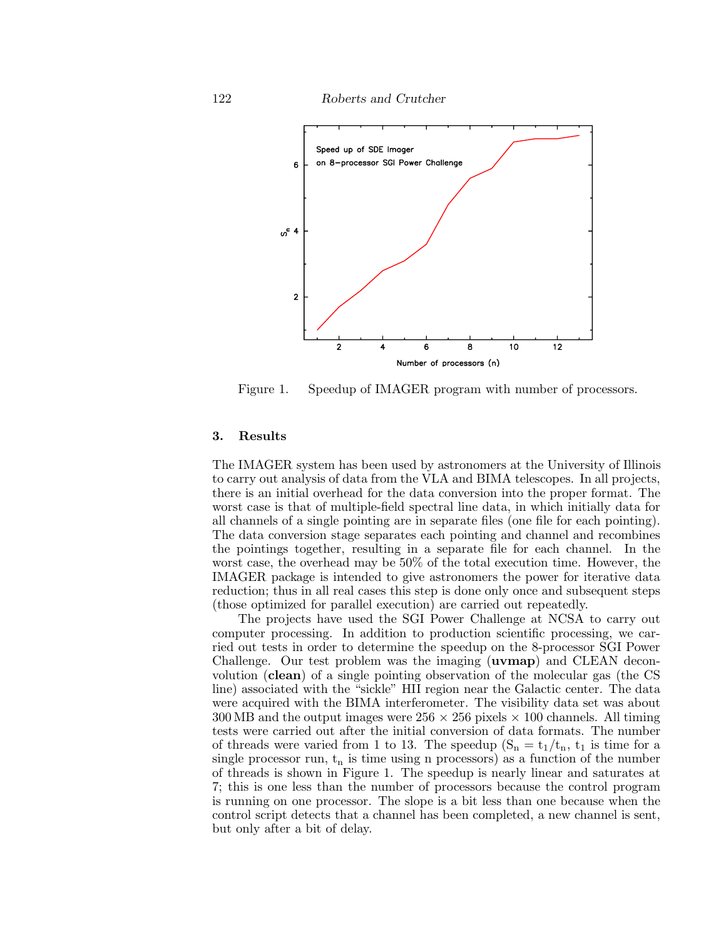122 *Roberts and Crutcher*



Figure 1. Speedup of IMAGER program with number of processors.

# **3. Results**

The IMAGER system has been used by astronomers at the University of Illinois to carry out analysis of data from the VLA and BIMA telescopes. In all projects, there is an initial overhead for the data conversion into the proper format. The worst case is that of multiple-field spectral line data, in which initially data for all channels of a single pointing are in separate files (one file for each pointing). The data conversion stage separates each pointing and channel and recombines the pointings together, resulting in a separate file for each channel. In the worst case, the overhead may be 50% of the total execution time. However, the IMAGER package is intended to give astronomers the power for iterative data reduction; thus in all real cases this step is done only once and subsequent steps (those optimized for parallel execution) are carried out repeatedly.

The projects have used the SGI Power Challenge at NCSA to carry out computer processing. In addition to production scientific processing, we carried out tests in order to determine the speedup on the 8-processor SGI Power Challenge. Our test problem was the imaging (**uvmap**) and CLEAN deconvolution (**clean**) of a single pointing observation of the molecular gas (the CS line) associated with the "sickle" HII region near the Galactic center. The data were acquired with the BIMA interferometer. The visibility data set was about 300 MB and the output images were  $256 \times 256$  pixels  $\times$  100 channels. All timing tests were carried out after the initial conversion of data formats. The number of threads were varied from 1 to 13. The speedup  $(S_n = t_1/t_n, t_1)$  is time for a single processor run,  $t_n$  is time using n processors) as a function of the number of threads is shown in Figure 1. The speedup is nearly linear and saturates at 7; this is one less than the number of processors because the control program is running on one processor. The slope is a bit less than one because when the control script detects that a channel has been completed, a new channel is sent, but only after a bit of delay.